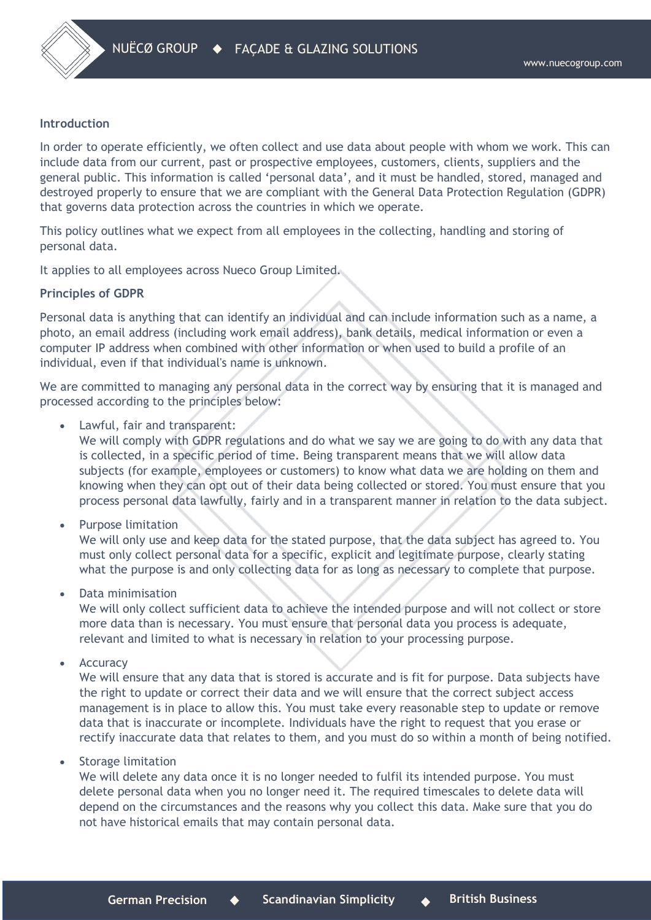

#### **Introduction**

In order to operate efficiently, we often collect and use data about people with whom we work. This can include data from our current, past or prospective employees, customers, clients, suppliers and the general public. This information is called 'personal data', and it must be handled, stored, managed and destroyed properly to ensure that we are compliant with the General Data Protection Regulation (GDPR) that governs data protection across the countries in which we operate.

This policy outlines what we expect from all employees in the collecting, handling and storing of personal data.

It applies to all employees across Nueco Group Limited.

#### **Principles of GDPR**

Personal data is anything that can identify an individual and can include information such as a name, a photo, an email address (including work email address), bank details, medical information or even a computer IP address when combined with other information or when used to build a profile of an individual, even if that individual's name is unknown.

We are committed to managing any personal data in the correct way by ensuring that it is managed and processed according to the principles below:

• Lawful, fair and transparent:

We will comply with GDPR regulations and do what we say we are going to do with any data that is collected, in a specific period of time. Being transparent means that we will allow data subjects (for example, employees or customers) to know what data we are holding on them and knowing when they can opt out of their data being collected or stored. You must ensure that you process personal data lawfully, fairly and in a transparent manner in relation to the data subject.

• Purpose limitation

We will only use and keep data for the stated purpose, that the data subject has agreed to. You must only collect personal data for a specific, explicit and legitimate purpose, clearly stating what the purpose is and only collecting data for as long as necessary to complete that purpose.

• Data minimisation

We will only collect sufficient data to achieve the intended purpose and will not collect or store more data than is necessary. You must ensure that personal data you process is adequate, relevant and limited to what is necessary in relation to your processing purpose.

**Accuracy** 

We will ensure that any data that is stored is accurate and is fit for purpose. Data subjects have the right to update or correct their data and we will ensure that the correct subject access management is in place to allow this. You must take every reasonable step to update or remove data that is inaccurate or incomplete. Individuals have the right to request that you erase or rectify inaccurate data that relates to them, and you must do so within a month of being notified.

• Storage limitation

We will delete any data once it is no longer needed to fulfil its intended purpose. You must delete personal data when you no longer need it. The required timescales to delete data will depend on the circumstances and the reasons why you collect this data. Make sure that you do not have historical emails that may contain personal data.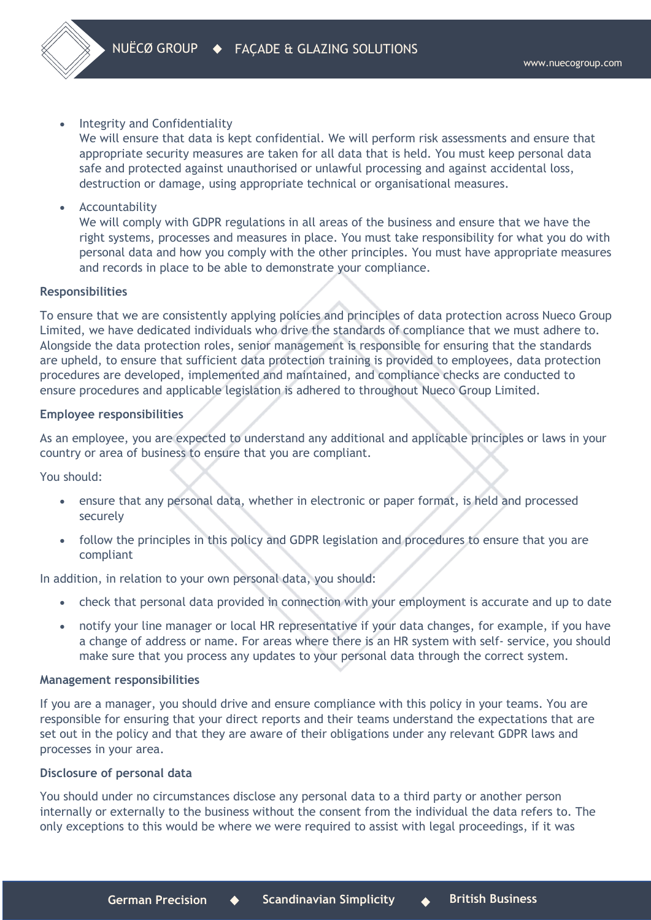

• Integrity and Confidentiality

We will ensure that data is kept confidential. We will perform risk assessments and ensure that appropriate security measures are taken for all data that is held. You must keep personal data safe and protected against unauthorised or unlawful processing and against accidental loss, destruction or damage, using appropriate technical or organisational measures.

**Accountability** 

We will comply with GDPR regulations in all areas of the business and ensure that we have the right systems, processes and measures in place. You must take responsibility for what you do with personal data and how you comply with the other principles. You must have appropriate measures and records in place to be able to demonstrate your compliance.

# **Responsibilities**

To ensure that we are consistently applying policies and principles of data protection across Nueco Group Limited, we have dedicated individuals who drive the standards of compliance that we must adhere to. Alongside the data protection roles, senior management is responsible for ensuring that the standards are upheld, to ensure that sufficient data protection training is provided to employees, data protection procedures are developed, implemented and maintained, and compliance checks are conducted to ensure procedures and applicable legislation is adhered to throughout Nueco Group Limited.

## **Employee responsibilities**

As an employee, you are expected to understand any additional and applicable principles or laws in your country or area of business to ensure that you are compliant.

You should:

- ensure that any personal data, whether in electronic or paper format, is held and processed securely
- follow the principles in this policy and GDPR legislation and procedures to ensure that you are compliant

In addition, in relation to your own personal data, you should:

- check that personal data provided in connection with your employment is accurate and up to date
- notify your line manager or local HR representative if your data changes, for example, if you have a change of address or name. For areas where there is an HR system with self- service, you should make sure that you process any updates to your personal data through the correct system.

## **Management responsibilities**

If you are a manager, you should drive and ensure compliance with this policy in your teams. You are responsible for ensuring that your direct reports and their teams understand the expectations that are set out in the policy and that they are aware of their obligations under any relevant GDPR laws and processes in your area.

## **Disclosure of personal data**

You should under no circumstances disclose any personal data to a third party or another person internally or externally to the business without the consent from the individual the data refers to. The only exceptions to this would be where we were required to assist with legal proceedings, if it was